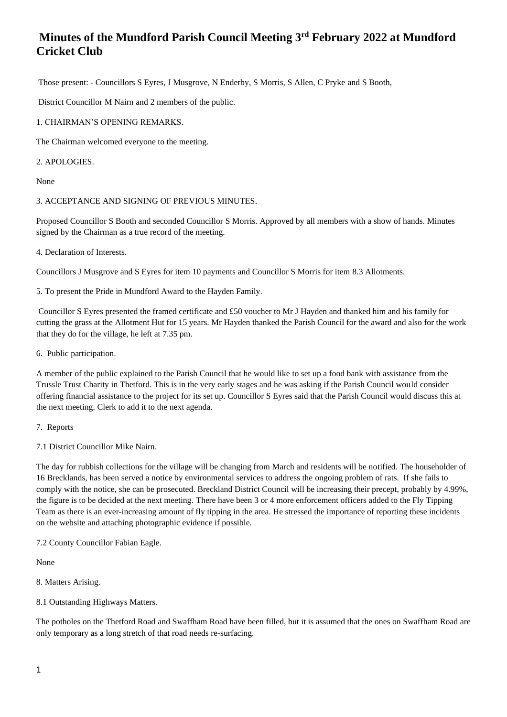Those present: - Councillors S Eyres, J Musgrove, N Enderby, S Morris, S Allen, C Pryke and S Booth,

District Councillor M Nairn and 2 members of the public.

## 1. CHAIRMAN'S OPENING REMARKS.

The Chairman welcomed everyone to the meeting.

## 2. APOLOGIES.

None

## 3. ACCEPTANCE AND SIGNING OF PREVIOUS MINUTES.

Proposed Councillor S Booth and seconded Councillor S Morris. Approved by all members with a show of hands. Minutes signed by the Chairman as a true record of the meeting.

4. Declaration of Interests.

Councillors J Musgrove and S Eyres for item 10 payments and Councillor S Morris for item 8.3 Allotments.

5. To present the Pride in Mundford Award to the Hayden Family.

Councillor S Eyres presented the framed certificate and £50 voucher to Mr J Hayden and thanked him and his family for cutting the grass at the Allotment Hut for 15 years. Mr Hayden thanked the Parish Council for the award and also for the work that they do for the village, he left at 7.35 pm.

6. Public participation.

A member of the public explained to the Parish Council that he would like to set up a food bank with assistance from the Trussle Trust Charity in Thetford. This is in the very early stages and he was asking if the Parish Council would consider offering financial assistance to the project for its set up. Councillor S Eyres said that the Parish Council would discuss this at the next meeting. Clerk to add it to the next agenda.

- 7. Reports
- 7.1 District Councillor Mike Nairn.

The day for rubbish collections for the village will be changing from March and residents will be notified. The householder of 16 Brecklands, has been served a notice by environmental services to address the ongoing problem of rats. If she fails to comply with the notice, she can be prosecuted. Breckland District Council will be increasing their precept, probably by 4.99%, the figure is to be decided at the next meeting. There have been 3 or 4 more enforcement officers added to the Fly Tipping Team as there is an ever-increasing amount of fly tipping in the area. He stressed the importance of reporting these incidents on the website and attaching photographic evidence if possible.

7.2 County Councillor Fabian Eagle.

None

- 8. Matters Arising.
- 8.1 Outstanding Highways Matters.

The potholes on the Thetford Road and Swaffham Road have been filled, but it is assumed that the ones on Swaffham Road are only temporary as a long stretch of that road needs re-surfacing.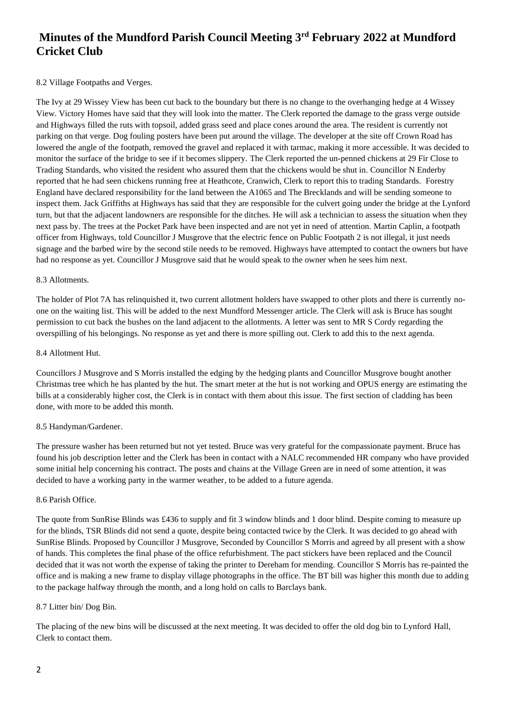## 8.2 Village Footpaths and Verges.

The Ivy at 29 Wissey View has been cut back to the boundary but there is no change to the overhanging hedge at 4 Wissey View. Victory Homes have said that they will look into the matter. The Clerk reported the damage to the grass verge outside and Highways filled the ruts with topsoil, added grass seed and place cones around the area. The resident is currently not parking on that verge. Dog fouling posters have been put around the village. The developer at the site off Crown Road has lowered the angle of the footpath, removed the gravel and replaced it with tarmac, making it more accessible. It was decided to monitor the surface of the bridge to see if it becomes slippery. The Clerk reported the un-penned chickens at 29 Fir Close to Trading Standards, who visited the resident who assured them that the chickens would be shut in. Councillor N Enderby reported that he had seen chickens running free at Heathcote, Cranwich, Clerk to report this to trading Standards. Forestry England have declared responsibility for the land between the A1065 and The Brecklands and will be sending someone to inspect them. Jack Griffiths at Highways has said that they are responsible for the culvert going under the bridge at the Lynford turn, but that the adjacent landowners are responsible for the ditches. He will ask a technician to assess the situation when they next pass by. The trees at the Pocket Park have been inspected and are not yet in need of attention. Martin Caplin, a footpath officer from Highways, told Councillor J Musgrove that the electric fence on Public Footpath 2 is not illegal, it just needs signage and the barbed wire by the second stile needs to be removed. Highways have attempted to contact the owners but have had no response as yet. Councillor J Musgrove said that he would speak to the owner when he sees him next.

#### 8.3 Allotments.

The holder of Plot 7A has relinquished it, two current allotment holders have swapped to other plots and there is currently noone on the waiting list. This will be added to the next Mundford Messenger article. The Clerk will ask is Bruce has sought permission to cut back the bushes on the land adjacent to the allotments. A letter was sent to MR S Cordy regarding the overspilling of his belongings. No response as yet and there is more spilling out. Clerk to add this to the next agenda.

#### 8.4 Allotment Hut.

Councillors J Musgrove and S Morris installed the edging by the hedging plants and Councillor Musgrove bought another Christmas tree which he has planted by the hut. The smart meter at the hut is not working and OPUS energy are estimating the bills at a considerably higher cost, the Clerk is in contact with them about this issue. The first section of cladding has been done, with more to be added this month.

## 8.5 Handyman/Gardener.

The pressure washer has been returned but not yet tested. Bruce was very grateful for the compassionate payment. Bruce has found his job description letter and the Clerk has been in contact with a NALC recommended HR company who have provided some initial help concerning his contract. The posts and chains at the Village Green are in need of some attention, it was decided to have a working party in the warmer weather, to be added to a future agenda.

#### 8.6 Parish Office.

The quote from SunRise Blinds was £436 to supply and fit 3 window blinds and 1 door blind. Despite coming to measure up for the blinds, TSR Blinds did not send a quote, despite being contacted twice by the Clerk. It was decided to go ahead with SunRise Blinds. Proposed by Councillor J Musgrove, Seconded by Councillor S Morris and agreed by all present with a show of hands. This completes the final phase of the office refurbishment. The pact stickers have been replaced and the Council decided that it was not worth the expense of taking the printer to Dereham for mending. Councillor S Morris has re-painted the office and is making a new frame to display village photographs in the office. The BT bill was higher this month due to adding to the package halfway through the month, and a long hold on calls to Barclays bank.

#### 8.7 Litter bin/ Dog Bin.

The placing of the new bins will be discussed at the next meeting. It was decided to offer the old dog bin to Lynford Hall, Clerk to contact them.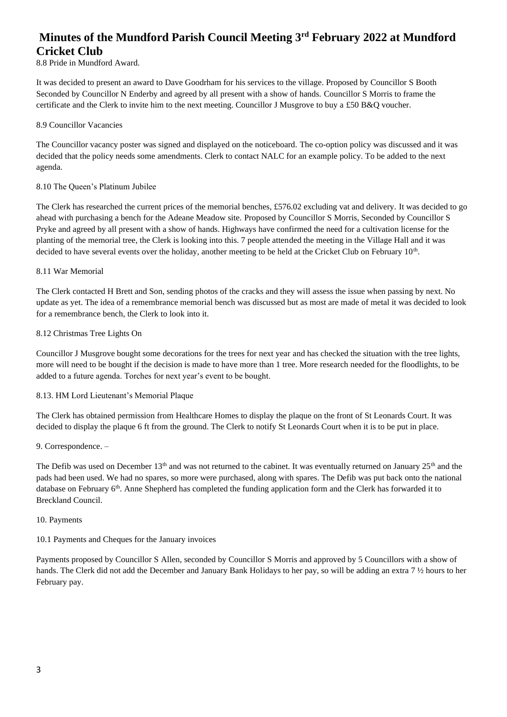## 8.8 Pride in Mundford Award.

It was decided to present an award to Dave Goodrham for his services to the village. Proposed by Councillor S Booth Seconded by Councillor N Enderby and agreed by all present with a show of hands. Councillor S Morris to frame the certificate and the Clerk to invite him to the next meeting. Councillor J Musgrove to buy a £50 B&Q voucher.

#### 8.9 Councillor Vacancies

The Councillor vacancy poster was signed and displayed on the noticeboard. The co-option policy was discussed and it was decided that the policy needs some amendments. Clerk to contact NALC for an example policy. To be added to the next agenda.

### 8.10 The Queen's Platinum Jubilee

The Clerk has researched the current prices of the memorial benches, £576.02 excluding vat and delivery. It was decided to go ahead with purchasing a bench for the Adeane Meadow site. Proposed by Councillor S Morris, Seconded by Councillor S Pryke and agreed by all present with a show of hands. Highways have confirmed the need for a cultivation license for the planting of the memorial tree, the Clerk is looking into this. 7 people attended the meeting in the Village Hall and it was decided to have several events over the holiday, another meeting to be held at the Cricket Club on February  $10<sup>th</sup>$ .

### 8.11 War Memorial

The Clerk contacted H Brett and Son, sending photos of the cracks and they will assess the issue when passing by next. No update as yet. The idea of a remembrance memorial bench was discussed but as most are made of metal it was decided to look for a remembrance bench, the Clerk to look into it.

## 8.12 Christmas Tree Lights On

Councillor J Musgrove bought some decorations for the trees for next year and has checked the situation with the tree lights, more will need to be bought if the decision is made to have more than 1 tree. More research needed for the floodlights, to be added to a future agenda. Torches for next year's event to be bought.

## 8.13. HM Lord Lieutenant's Memorial Plaque

The Clerk has obtained permission from Healthcare Homes to display the plaque on the front of St Leonards Court. It was decided to display the plaque 6 ft from the ground. The Clerk to notify St Leonards Court when it is to be put in place.

#### 9. Correspondence. –

The Defib was used on December 13<sup>th</sup> and was not returned to the cabinet. It was eventually returned on January 25<sup>th</sup> and the pads had been used. We had no spares, so more were purchased, along with spares. The Defib was put back onto the national database on February 6<sup>th</sup>. Anne Shepherd has completed the funding application form and the Clerk has forwarded it to Breckland Council.

#### 10. Payments

## 10.1 Payments and Cheques for the January invoices

Payments proposed by Councillor S Allen, seconded by Councillor S Morris and approved by 5 Councillors with a show of hands. The Clerk did not add the December and January Bank Holidays to her pay, so will be adding an extra 7 ½ hours to her February pay.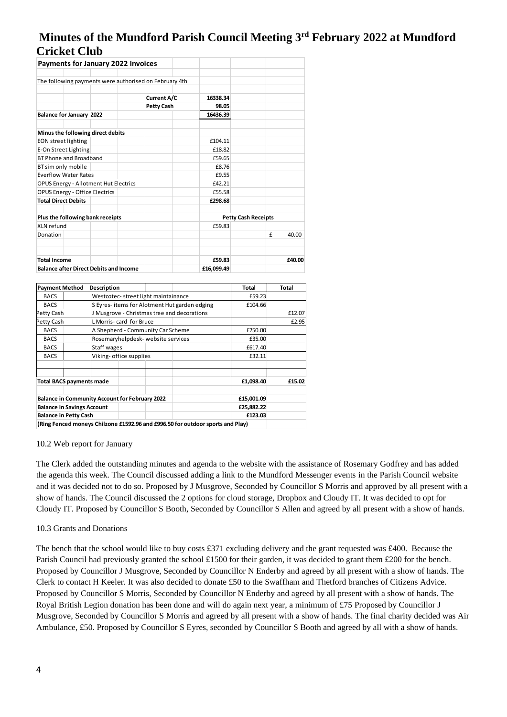| <b>Payments for January 2022 Invoices</b>              |                    |                            |            |
|--------------------------------------------------------|--------------------|----------------------------|------------|
|                                                        |                    |                            |            |
| The following payments were authorised on February 4th |                    |                            |            |
|                                                        |                    |                            |            |
|                                                        | <b>Current A/C</b> | 16338.34                   |            |
|                                                        | <b>Petty Cash</b>  | 98.05                      |            |
| <b>Balance for January 2022</b>                        |                    | 16436.39                   |            |
| Minus the following direct debits                      |                    |                            |            |
| <b>EON street lighting</b>                             |                    | £104.11                    |            |
| E-On Street Lighting                                   |                    | £18.82                     |            |
| BT Phone and Broadband                                 |                    | £59.65                     |            |
| BT sim only mobile                                     |                    | £8.76                      |            |
| <b>Everflow Water Rates</b>                            |                    | £9.55                      |            |
| <b>OPUS Energy - Allotment Hut Electrics</b>           |                    | £42.21                     |            |
| <b>OPUS Energy - Office Electrics</b>                  |                    | £55.58                     |            |
| <b>Total Direct Debits</b>                             |                    | £298.68                    |            |
| Plus the following bank receipts                       |                    | <b>Petty Cash Receipts</b> |            |
| XIN refund                                             |                    | £59.83                     |            |
| Donation                                               |                    |                            | f<br>40.00 |
| <b>Total Income</b>                                    |                    | £59.83                     | £40.00     |
| <b>Balance after Direct Debits and Income</b>          |                    | £16,099.49                 |            |

| <b>Payment Method</b>             | <b>Description</b>                                                             | Total      | Total  |
|-----------------------------------|--------------------------------------------------------------------------------|------------|--------|
| <b>BACS</b>                       | Westcotec-street light maintainance                                            | £59.23     |        |
| <b>BACS</b>                       | S Eyres-items for Alotment Hut garden edging                                   | £104.66    |        |
| Petty Cash                        | J Musgrove - Christmas tree and decorations                                    |            | £12.07 |
| Petty Cash                        | L Morris- card for Bruce                                                       |            | £2.95  |
| <b>BACS</b>                       | A Shepherd - Community Car Scheme                                              | £250.00    |        |
| <b>BACS</b>                       | Rosemaryhelpdesk- website services                                             | £35.00     |        |
| <b>BACS</b>                       | Staff wages                                                                    | £617.40    |        |
| <b>BACS</b>                       | Viking- office supplies                                                        | £32.11     |        |
|                                   |                                                                                |            |        |
| <b>Total BACS payments made</b>   |                                                                                | £1,098.40  | £15.02 |
|                                   | <b>Balance in Community Account for February 2022</b>                          | £15,001.09 |        |
| <b>Balance in Savings Account</b> |                                                                                | £25,882.22 |        |
| <b>Balance in Petty Cash</b>      |                                                                                | £123.03    |        |
|                                   | (Ring Fenced moneys Chilzone £1592.96 and £996.50 for outdoor sports and Play) |            |        |

**(Ring Fenced moneys Chilzone £1592.96 and £996.50 for outdoor sports and Play)**

#### 10.2 Web report for January

The Clerk added the outstanding minutes and agenda to the website with the assistance of Rosemary Godfrey and has added the agenda this week. The Council discussed adding a link to the Mundford Messenger events in the Parish Council website and it was decided not to do so. Proposed by J Musgrove, Seconded by Councillor S Morris and approved by all present with a show of hands. The Council discussed the 2 options for cloud storage, Dropbox and Cloudy IT. It was decided to opt for Cloudy IT. Proposed by Councillor S Booth, Seconded by Councillor S Allen and agreed by all present with a show of hands.

#### 10.3 Grants and Donations

The bench that the school would like to buy costs £371 excluding delivery and the grant requested was £400. Because the Parish Council had previously granted the school £1500 for their garden, it was decided to grant them £200 for the bench. Proposed by Councillor J Musgrove, Seconded by Councillor N Enderby and agreed by all present with a show of hands. The Clerk to contact H Keeler. It was also decided to donate £50 to the Swaffham and Thetford branches of Citizens Advice. Proposed by Councillor S Morris, Seconded by Councillor N Enderby and agreed by all present with a show of hands. The Royal British Legion donation has been done and will do again next year, a minimum of £75 Proposed by Councillor J Musgrove, Seconded by Councillor S Morris and agreed by all present with a show of hands. The final charity decided was Air Ambulance, £50. Proposed by Councillor S Eyres, seconded by Councillor S Booth and agreed by all with a show of hands.